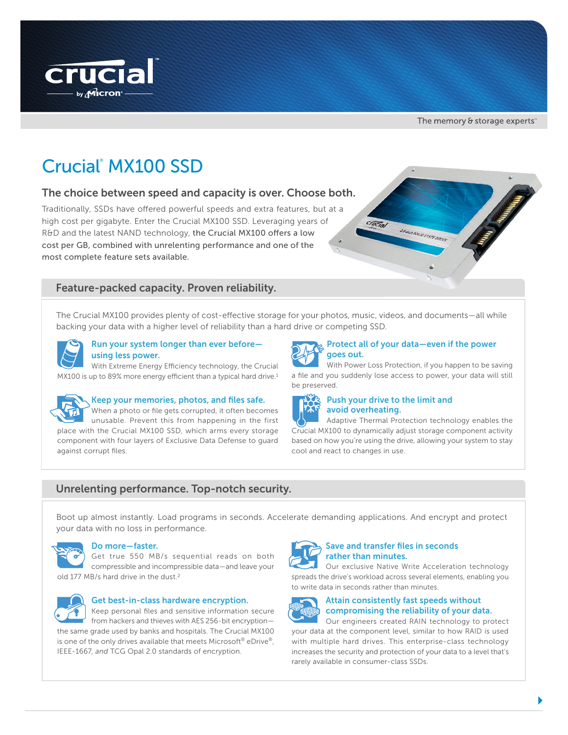

The memory & storage experts<sup>®</sup>

# Crucial® MX100 SSD

# The choice between speed and capacity is over. Choose both.

Traditionally, SSDs have offered powerful speeds and extra features, but at a high cost per gigabyte. Enter the Crucial MX100 SSD. Leveraging years of R&D and the latest NAND technology, the Crucial MX100 offers a low cost per GB, combined with unrelenting performance and one of the most complete feature sets available.

# Feature-packed capacity. Proven reliability.

The Crucial MX100 provides plenty of cost-effective storage for your photos, music, videos, and documents—all while backing your data with a higher level of reliability than a hard drive or competing SSD.



#### Run your system longer than ever before using less power.

With Extreme Energy Efficiency technology, the Crucial MX100 is up to 89% more energy efficient than a typical hard drive.<sup>1</sup>



# Keep your memories, photos, and files safe.

When a photo or file gets corrupted, it often becomes unusable. Prevent this from happening in the first place with the Crucial MX100 SSD, which arms every storage component with four layers of Exclusive Data Defense to guard against corrupt files.



With Power Loss Protection, if you happen to be saving a file and you suddenly lose access to power, your data will still be preserved.



#### Push your drive to the limit and avoid overheating.

Adaptive Thermal Protection technology enables the Crucial MX100 to dynamically adjust storage component activity based on how you're using the drive, allowing your system to stay cool and react to changes in use.

# Unrelenting performance. Top-notch security.

Boot up almost instantly. Load programs in seconds. Accelerate demanding applications. And encrypt and protect your data with no loss in performance.



## Do more—faster.

Get true 550 MB/s sequential reads on both compressible and incompressible data—and leave your old 177 MB/s hard drive in the dust.<sup>2</sup>



## Get best-in-class hardware encryption.

Keep personal files and sensitive information secure from hackers and thieves with AES 256-bit encryption the same grade used by banks and hospitals. The Crucial MX100 is one of the only drives available that meets Microsoft<sup>®</sup> eDrive<sup>®</sup>, IEEE-1667, *and* TCG Opal 2.0 standards of encryption.



### Save and transfer files in seconds rather than minutes.

Our exclusive Native Write Acceleration technology spreads the drive's workload across several elements, enabling you to write data in seconds rather than minutes.



# Attain consistently fast speeds without compromising the reliability of your data.

Our engineers created RAIN technology to protect your data at the component level, similar to how RAID is used with multiple hard drives. This enterprise-class technology increases the security and protection of your data to a level that's rarely available in consumer-class SSDs.